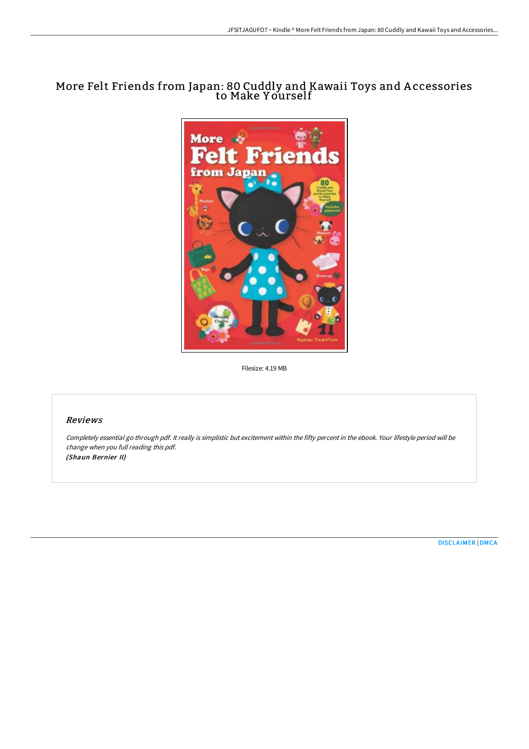# More Felt Friends from Japan: 80 Cuddly and Kawaii Toys and A ccessories to Make Y ourself



Filesize: 4.19 MB

## Reviews

Completely essential go through pdf. It really is simplistic but excitement within the fifty percent in the ebook. Your lifestyle period will be change when you full reading this pdf. (Shaun Bernier II)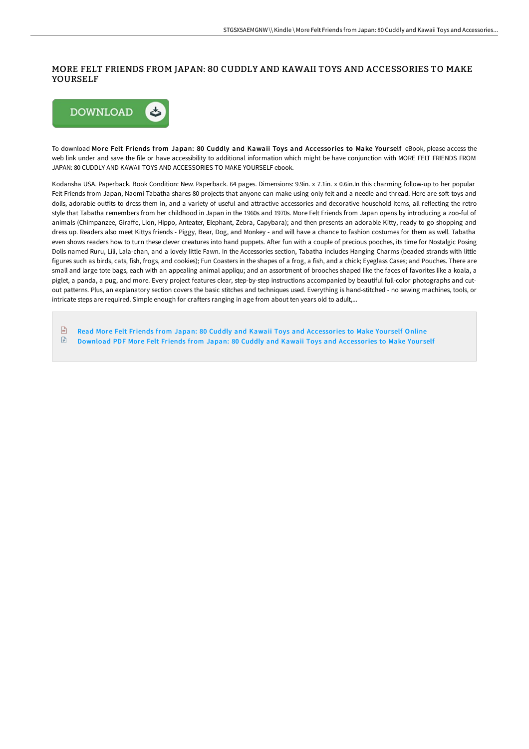### MORE FELT FRIENDS FROM JAPAN: 80 CUDDLY AND KAWAII TOYS AND ACCESSORIES TO MAKE YOURSELF



To download More Felt Friends from Japan: 80 Cuddly and Kawaii Toys and Accessories to Make Your self eBook, please access the web link under and save the file or have accessibility to additional information which might be have conjunction with MORE FELT FRIENDS FROM JAPAN: 80 CUDDLY AND KAWAII TOYS AND ACCESSORIES TO MAKE YOURSELF ebook.

Kodansha USA. Paperback. Book Condition: New. Paperback. 64 pages. Dimensions: 9.9in. x 7.1in. x 0.6in.In this charming follow-up to her popular Felt Friends from Japan, Naomi Tabatha shares 80 projects that anyone can make using only felt and a needle-and-thread. Here are soft toys and dolls, adorable outfits to dress them in, and a variety of useful and attractive accessories and decorative household items, all reflecting the retro style that Tabatha remembers from her childhood in Japan in the 1960s and 1970s. More Felt Friends from Japan opens by introducing a zoo-ful of animals (Chimpanzee, Giraffe, Lion, Hippo, Anteater, Elephant, Zebra, Capybara); and then presents an adorable Kitty, ready to go shopping and dress up. Readers also meet Kittys friends - Piggy, Bear, Dog, and Monkey - and will have a chance to fashion costumes for them as well. Tabatha even shows readers how to turn these clever creatures into hand puppets. After fun with a couple of precious pooches, its time for Nostalgic Posing Dolls named Ruru, Lili, Lala-chan, and a lovely little Fawn. In the Accessories section, Tabatha includes Hanging Charms (beaded strands with little figures such as birds, cats, fish, frogs, and cookies); Fun Coasters in the shapes of a frog, a fish, and a chick; Eyeglass Cases; and Pouches. There are small and large tote bags, each with an appealing animal appliqu; and an assortment of brooches shaped like the faces of favorites like a koala, a piglet, a panda, a pug, and more. Every project features clear, step-by-step instructions accompanied by beautiful full-color photographs and cutout patterns. Plus, an explanatory section covers the basic stitches and techniques used. Everything is hand-stitched - no sewing machines, tools, or intricate steps are required. Simple enough for crafters ranging in age from about ten years old to adult,...

 $\sqrt{\frac{1}{n}}$ Read More Felt Friends from Japan: 80 Cuddly and Kawaii Toys and [Accessories](http://bookera.tech/more-felt-friends-from-japan-80-cuddly-and-kawai.html) to Make Yourself Online  $\ensuremath{\boxdot}$ Download PDF More Felt Friends from Japan: 80 Cuddly and Kawaii Toys and [Accessories](http://bookera.tech/more-felt-friends-from-japan-80-cuddly-and-kawai.html) to Make Yourself